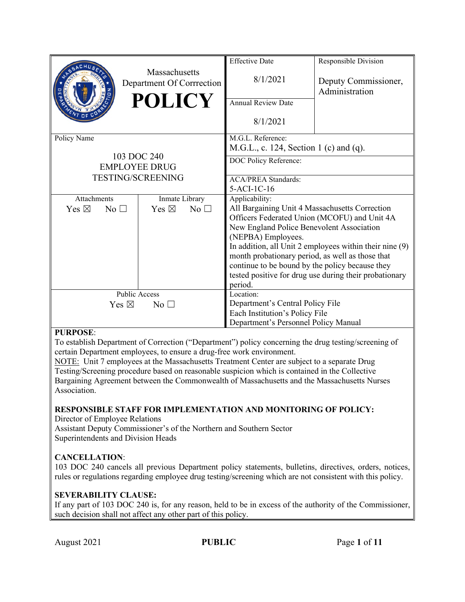|                                           |                 | <b>Massachusetts</b><br>Department Of Corrrection<br><b>POLICY</b> |              | <b>Effective Date</b><br>8/1/2021<br><b>Annual Review Date</b><br>8/1/2021                                                                                                                                                                                                          | Responsible Division<br>Deputy Commissioner,<br>Administration                                                    |
|-------------------------------------------|-----------------|--------------------------------------------------------------------|--------------|-------------------------------------------------------------------------------------------------------------------------------------------------------------------------------------------------------------------------------------------------------------------------------------|-------------------------------------------------------------------------------------------------------------------|
| Policy Name<br>103 DOC 240                |                 |                                                                    |              | M.G.L. Reference:<br>M.G.L., c. 124, Section 1 (c) and (q).<br>DOC Policy Reference:                                                                                                                                                                                                |                                                                                                                   |
| <b>EMPLOYEE DRUG</b><br>TESTING/SCREENING |                 |                                                                    |              | <b>ACA/PREA Standards:</b><br>$5-ACI-1C-16$                                                                                                                                                                                                                                         |                                                                                                                   |
| Attachments                               |                 | Inmate Library                                                     |              | Applicability:                                                                                                                                                                                                                                                                      |                                                                                                                   |
| Yes $\boxtimes$                           | No <sub>1</sub> | Yes $\boxtimes$                                                    | No $\square$ | All Bargaining Unit 4 Massachusetts Correction<br>Officers Federated Union (MCOFU) and Unit 4A<br>New England Police Benevolent Association<br>(NEPBA) Employees.<br>month probationary period, as well as those that<br>continue to be bound by the policy because they<br>period. | In addition, all Unit 2 employees within their nine (9)<br>tested positive for drug use during their probationary |
| <b>Public Access</b>                      |                 |                                                                    |              | Location:                                                                                                                                                                                                                                                                           |                                                                                                                   |
| Yes $\boxtimes$<br>No <sub>1</sub>        |                 |                                                                    |              | Department's Central Policy File                                                                                                                                                                                                                                                    |                                                                                                                   |
|                                           |                 |                                                                    |              | Each Institution's Policy File<br>Department's Personnel Policy Manual                                                                                                                                                                                                              |                                                                                                                   |

## **PURPOSE**:

To establish Department of Correction ("Department") policy concerning the drug testing/screening of certain Department employees, to ensure a drug-free work environment.

NOTE: Unit 7 employees at the Massachusetts Treatment Center are subject to a separate Drug Testing/Screening procedure based on reasonable suspicion which is contained in the Collective Bargaining Agreement between the Commonwealth of Massachusetts and the Massachusetts Nurses Association.

### **RESPONSIBLE STAFF FOR IMPLEMENTATION AND MONITORING OF POLICY:**

Director of Employee Relations

Assistant Deputy Commissioner's of the Northern and Southern Sector Superintendents and Division Heads

## **CANCELLATION**:

103 DOC 240 cancels all previous Department policy statements, bulletins, directives, orders, notices, rules or regulations regarding employee drug testing/screening which are not consistent with this policy.

### **SEVERABILITY CLAUSE:**

If any part of 103 DOC 240 is, for any reason, held to be in excess of the authority of the Commissioner, such decision shall not affect any other part of this policy.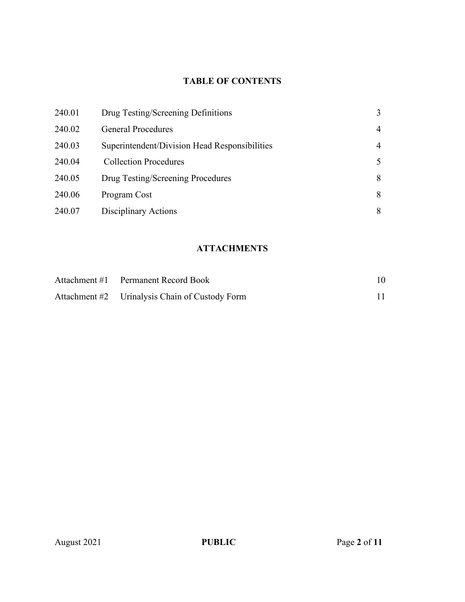# **TABLE OF CONTENTS**

| 240.01 | Drug Testing/Screening Definitions            | 3              |
|--------|-----------------------------------------------|----------------|
| 240.02 | <b>General Procedures</b>                     | $\overline{4}$ |
| 240.03 | Superintendent/Division Head Responsibilities | $\overline{4}$ |
| 240.04 | <b>Collection Procedures</b>                  | 5              |
| 240.05 | Drug Testing/Screening Procedures             | 8              |
| 240.06 | Program Cost                                  | 8              |
| 240.07 | Disciplinary Actions                          | 8              |

# **ATTACHMENTS**

| Attachment #1 Permanent Record Book            |  |
|------------------------------------------------|--|
| Attachment #2 Urinalysis Chain of Custody Form |  |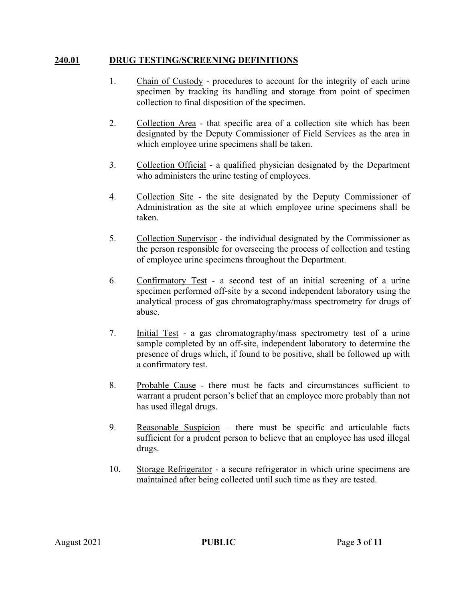## **240.01 DRUG TESTING/SCREENING DEFINITIONS**

- 1. Chain of Custody procedures to account for the integrity of each urine specimen by tracking its handling and storage from point of specimen collection to final disposition of the specimen.
- 2. Collection Area that specific area of a collection site which has been designated by the Deputy Commissioner of Field Services as the area in which employee urine specimens shall be taken.
- 3. Collection Official a qualified physician designated by the Department who administers the urine testing of employees.
- 4. Collection Site the site designated by the Deputy Commissioner of Administration as the site at which employee urine specimens shall be taken.
- 5. Collection Supervisor the individual designated by the Commissioner as the person responsible for overseeing the process of collection and testing of employee urine specimens throughout the Department.
- 6. Confirmatory Test a second test of an initial screening of a urine specimen performed off-site by a second independent laboratory using the analytical process of gas chromatography/mass spectrometry for drugs of abuse.
- 7. Initial Test a gas chromatography/mass spectrometry test of a urine sample completed by an off-site, independent laboratory to determine the presence of drugs which, if found to be positive, shall be followed up with a confirmatory test.
- 8. Probable Cause there must be facts and circumstances sufficient to warrant a prudent person's belief that an employee more probably than not has used illegal drugs.
- 9. Reasonable Suspicion there must be specific and articulable facts sufficient for a prudent person to believe that an employee has used illegal drugs.
- 10. Storage Refrigerator a secure refrigerator in which urine specimens are maintained after being collected until such time as they are tested.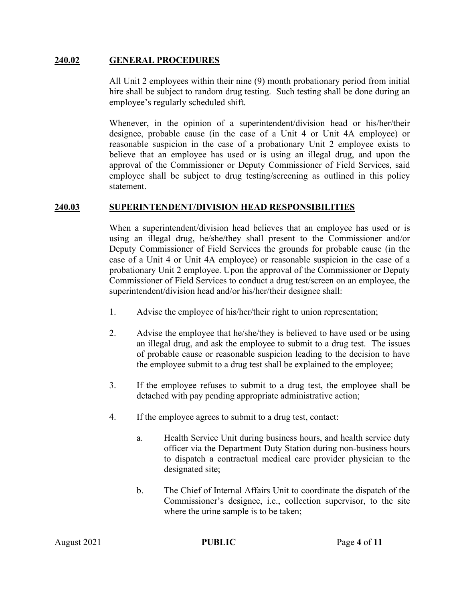## **240.02 GENERAL PROCEDURES**

All Unit 2 employees within their nine (9) month probationary period from initial hire shall be subject to random drug testing. Such testing shall be done during an employee's regularly scheduled shift.

Whenever, in the opinion of a superintendent/division head or his/her/their designee, probable cause (in the case of a Unit 4 or Unit 4A employee) or reasonable suspicion in the case of a probationary Unit 2 employee exists to believe that an employee has used or is using an illegal drug, and upon the approval of the Commissioner or Deputy Commissioner of Field Services, said employee shall be subject to drug testing/screening as outlined in this policy statement.

### **240.03 SUPERINTENDENT/DIVISION HEAD RESPONSIBILITIES**

When a superintendent/division head believes that an employee has used or is using an illegal drug, he/she/they shall present to the Commissioner and/or Deputy Commissioner of Field Services the grounds for probable cause (in the case of a Unit 4 or Unit 4A employee) or reasonable suspicion in the case of a probationary Unit 2 employee. Upon the approval of the Commissioner or Deputy Commissioner of Field Services to conduct a drug test/screen on an employee, the superintendent/division head and/or his/her/their designee shall:

- 1. Advise the employee of his/her/their right to union representation;
- 2. Advise the employee that he/she/they is believed to have used or be using an illegal drug, and ask the employee to submit to a drug test. The issues of probable cause or reasonable suspicion leading to the decision to have the employee submit to a drug test shall be explained to the employee;
- 3. If the employee refuses to submit to a drug test, the employee shall be detached with pay pending appropriate administrative action;
- 4. If the employee agrees to submit to a drug test, contact:
	- a. Health Service Unit during business hours, and health service duty officer via the Department Duty Station during non-business hours to dispatch a contractual medical care provider physician to the designated site;
	- b. The Chief of Internal Affairs Unit to coordinate the dispatch of the Commissioner's designee, i.e., collection supervisor, to the site where the urine sample is to be taken;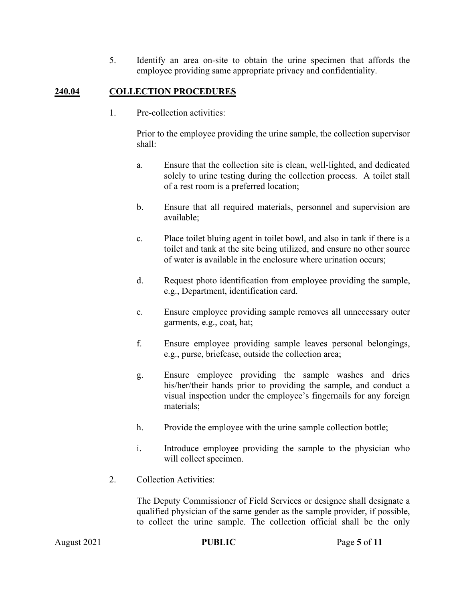5. Identify an area on-site to obtain the urine specimen that affords the employee providing same appropriate privacy and confidentiality.

## **240.04 COLLECTION PROCEDURES**

1. Pre-collection activities:

Prior to the employee providing the urine sample, the collection supervisor shall:

- a. Ensure that the collection site is clean, well-lighted, and dedicated solely to urine testing during the collection process. A toilet stall of a rest room is a preferred location;
- b. Ensure that all required materials, personnel and supervision are available;
- c. Place toilet bluing agent in toilet bowl, and also in tank if there is a toilet and tank at the site being utilized, and ensure no other source of water is available in the enclosure where urination occurs;
- d. Request photo identification from employee providing the sample, e.g., Department, identification card.
- e. Ensure employee providing sample removes all unnecessary outer garments, e.g., coat, hat;
- f. Ensure employee providing sample leaves personal belongings, e.g., purse, briefcase, outside the collection area;
- g. Ensure employee providing the sample washes and dries his/her/their hands prior to providing the sample, and conduct a visual inspection under the employee's fingernails for any foreign materials;
- h. Provide the employee with the urine sample collection bottle;
- i. Introduce employee providing the sample to the physician who will collect specimen.
- 2. Collection Activities:

The Deputy Commissioner of Field Services or designee shall designate a qualified physician of the same gender as the sample provider, if possible, to collect the urine sample. The collection official shall be the only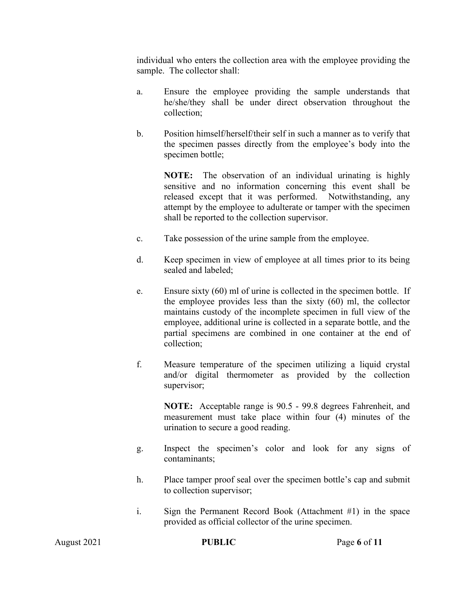individual who enters the collection area with the employee providing the sample. The collector shall:

- a. Ensure the employee providing the sample understands that he/she/they shall be under direct observation throughout the collection;
- b. Position himself/herself/their self in such a manner as to verify that the specimen passes directly from the employee's body into the specimen bottle;

**NOTE:** The observation of an individual urinating is highly sensitive and no information concerning this event shall be released except that it was performed. Notwithstanding, any attempt by the employee to adulterate or tamper with the specimen shall be reported to the collection supervisor.

- c. Take possession of the urine sample from the employee.
- d. Keep specimen in view of employee at all times prior to its being sealed and labeled;
- e. Ensure sixty (60) ml of urine is collected in the specimen bottle. If the employee provides less than the sixty (60) ml, the collector maintains custody of the incomplete specimen in full view of the employee, additional urine is collected in a separate bottle, and the partial specimens are combined in one container at the end of collection;
- f. Measure temperature of the specimen utilizing a liquid crystal and/or digital thermometer as provided by the collection supervisor;

**NOTE:** Acceptable range is 90.5 - 99.8 degrees Fahrenheit, and measurement must take place within four (4) minutes of the urination to secure a good reading.

- g. Inspect the specimen's color and look for any signs of contaminants;
- h. Place tamper proof seal over the specimen bottle's cap and submit to collection supervisor;
- i. Sign the Permanent Record Book (Attachment #1) in the space provided as official collector of the urine specimen.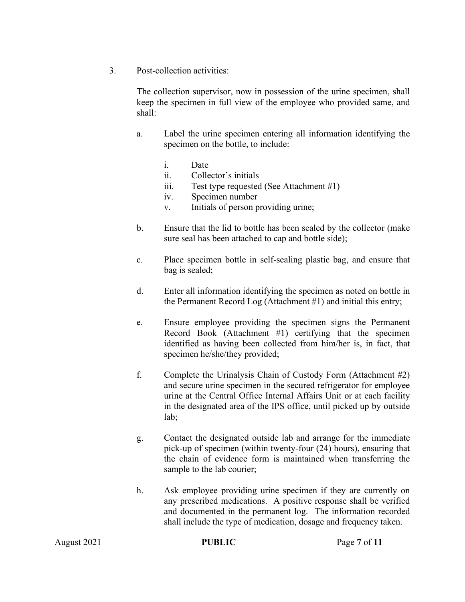3. Post-collection activities:

The collection supervisor, now in possession of the urine specimen, shall keep the specimen in full view of the employee who provided same, and shall:

- a. Label the urine specimen entering all information identifying the specimen on the bottle, to include:
	- i. Date
	- ii. Collector's initials
	- iii. Test type requested (See Attachment #1)
	- iv. Specimen number
	- v. Initials of person providing urine;
- b. Ensure that the lid to bottle has been sealed by the collector (make sure seal has been attached to cap and bottle side);
- c. Place specimen bottle in self-sealing plastic bag, and ensure that bag is sealed;
- d. Enter all information identifying the specimen as noted on bottle in the Permanent Record Log (Attachment #1) and initial this entry;
- e. Ensure employee providing the specimen signs the Permanent Record Book (Attachment #1) certifying that the specimen identified as having been collected from him/her is, in fact, that specimen he/she/they provided;
- f. Complete the Urinalysis Chain of Custody Form (Attachment #2) and secure urine specimen in the secured refrigerator for employee urine at the Central Office Internal Affairs Unit or at each facility in the designated area of the IPS office, until picked up by outside lab;
- g. Contact the designated outside lab and arrange for the immediate pick-up of specimen (within twenty-four (24) hours), ensuring that the chain of evidence form is maintained when transferring the sample to the lab courier;
- h. Ask employee providing urine specimen if they are currently on any prescribed medications. A positive response shall be verified and documented in the permanent log. The information recorded shall include the type of medication, dosage and frequency taken.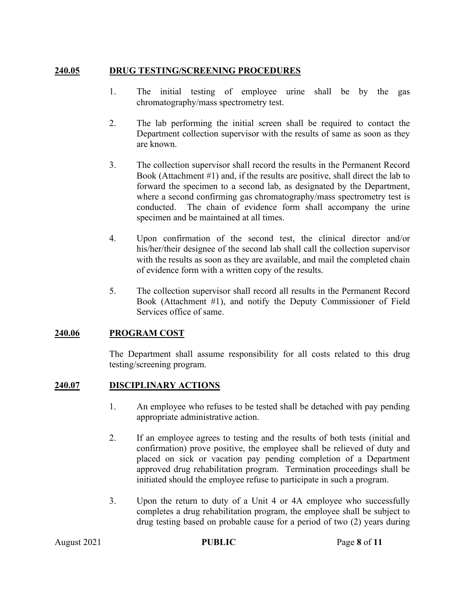## **240.05 DRUG TESTING/SCREENING PROCEDURES**

- 1. The initial testing of employee urine shall be by the gas chromatography/mass spectrometry test.
- 2. The lab performing the initial screen shall be required to contact the Department collection supervisor with the results of same as soon as they are known.
- 3. The collection supervisor shall record the results in the Permanent Record Book (Attachment #1) and, if the results are positive, shall direct the lab to forward the specimen to a second lab, as designated by the Department, where a second confirming gas chromatography/mass spectrometry test is conducted. The chain of evidence form shall accompany the urine specimen and be maintained at all times.
- 4. Upon confirmation of the second test, the clinical director and/or his/her/their designee of the second lab shall call the collection supervisor with the results as soon as they are available, and mail the completed chain of evidence form with a written copy of the results.
- 5. The collection supervisor shall record all results in the Permanent Record Book (Attachment #1), and notify the Deputy Commissioner of Field Services office of same.

## **240.06 PROGRAM COST**

The Department shall assume responsibility for all costs related to this drug testing/screening program.

## **240.07 DISCIPLINARY ACTIONS**

- 1. An employee who refuses to be tested shall be detached with pay pending appropriate administrative action.
- 2. If an employee agrees to testing and the results of both tests (initial and confirmation) prove positive, the employee shall be relieved of duty and placed on sick or vacation pay pending completion of a Department approved drug rehabilitation program. Termination proceedings shall be initiated should the employee refuse to participate in such a program.
- 3. Upon the return to duty of a Unit 4 or 4A employee who successfully completes a drug rehabilitation program, the employee shall be subject to drug testing based on probable cause for a period of two (2) years during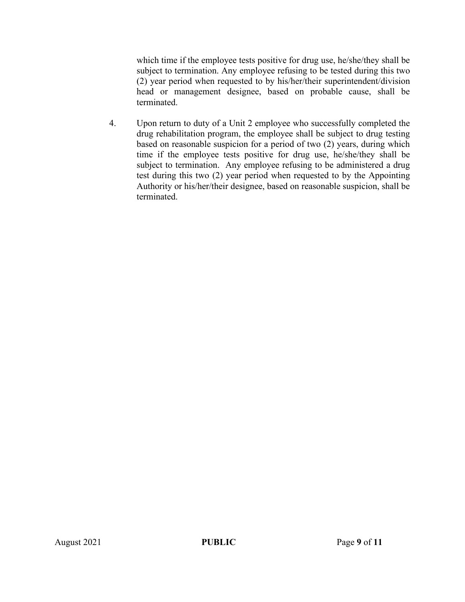which time if the employee tests positive for drug use, he/she/they shall be subject to termination. Any employee refusing to be tested during this two (2) year period when requested to by his/her/their superintendent/division head or management designee, based on probable cause, shall be terminated.

4. Upon return to duty of a Unit 2 employee who successfully completed the drug rehabilitation program, the employee shall be subject to drug testing based on reasonable suspicion for a period of two (2) years, during which time if the employee tests positive for drug use, he/she/they shall be subject to termination. Any employee refusing to be administered a drug test during this two (2) year period when requested to by the Appointing Authority or his/her/their designee, based on reasonable suspicion, shall be terminated.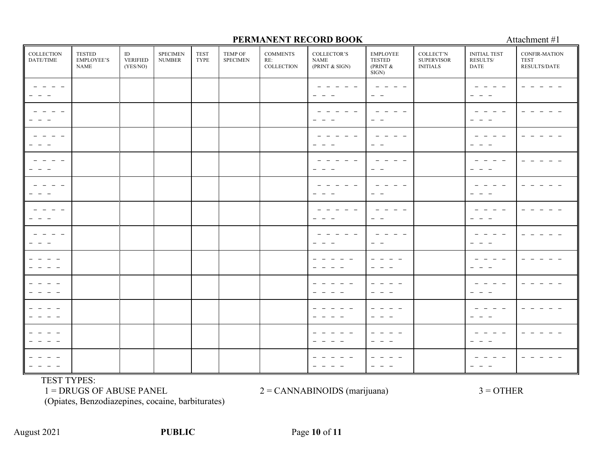#### **COLLECTION** DATE/TIME TESTED EMPLOYEE'S NAME ID VERIFIED (YES/NO) SPECIMEN NUMBER TEST TYPE TEMP OF **SPECIMEN COMMENTS** RE: **COLLECTION** COLLECTOR'S NAME (PRINT & SIGN) EMPLOYEE TESTED (PRINT &  $\hat{S}$ IGN $)$ COLLECT'N **SUPERVISOR** INITIALS INITIAL TEST RESULTS/ DATE CONFIR-MATION TEST RESULTS/DATE - - - - - - - - - - - - - - -  $-$ - - - - - - - - - - - - - - - - - - - - - - - - - - -<br>- -- - - - - - - - -  $-$  -  $-$  -- - - - - - -  $-$ - - - - - - -  $-$ - - - - - - - - - - - - - - - - - - - - - - -  $-$ - -  $-$ - - -  $-$  -  $-$  -- - - - - - - - - - - - - - -  $-$ - -  $-$ - - -  $-$ - - - - - - - - - - - - - - -  $-$ - -  $-$ - - - - - - - - - - - - - - - - - - - - - - -  $-$ - -  $-$ - - - - - - - - - - - - - - - - - - - - - - - - - - - - - - - - - - - - - - - - - - - - - - - - - - - - - - - - - - - - - - - - - - - - - - - - - - - - - - - - - - - - - - - - - - - - - - - - - - - - - - - - - - - - - - - - - - - - - - - - - - - - - - - - - - - - - - - - - - - -  $-$ - - - - - - - - - - - - - - - - - - - - - - - - - - - - - - - -  $-$ - - - - - - - -

**PERMANENT RECORD BOOK** Attachment #1

TEST TYPES:

 $1 = DRUGS$  OF ABUSE PANEL  $2 = CANNABINOIDS$  (marijuana)  $3 = OTHER$ 

(Opiates, Benzodiazepines, cocaine, barbiturates)